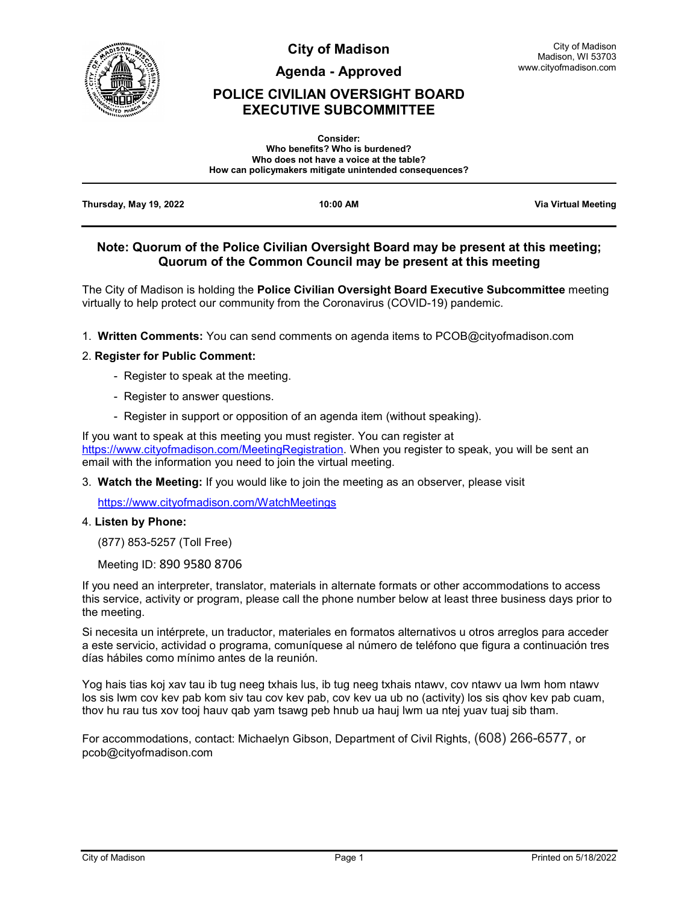

**City of Madison**

**Agenda - Approved**

## **POLICE CIVILIAN OVERSIGHT BOARD EXECUTIVE SUBCOMMITTEE**

|                        | <b>Consider:</b>                                       |                     |
|------------------------|--------------------------------------------------------|---------------------|
|                        | Who benefits? Who is burdened?                         |                     |
|                        | Who does not have a voice at the table?                |                     |
|                        | How can policymakers mitigate unintended consequences? |                     |
|                        |                                                        |                     |
| Thursday, May 19, 2022 | 10:00 AM                                               | Via Virtual Meeting |

### **Note: Quorum of the Police Civilian Oversight Board may be present at this meeting; Quorum of the Common Council may be present at this meeting**

The City of Madison is holding the **Police Civilian Oversight Board Executive Subcommittee** meeting virtually to help protect our community from the Coronavirus (COVID-19) pandemic.

1. **Written Comments:** You can send comments on agenda items to PCOB@cityofmadison.com

#### 2. **Register for Public Comment:**

- Register to speak at the meeting.
- Register to answer questions.
- Register in support or opposition of an agenda item (without speaking).

If you want to speak at this meeting you must register. You can register at [https://www.cityofmadison.com/MeetingRegistration.](https://www.cityofmadison.com/MeetingRegistration) When you register to speak, you will be sent an email with the information you need to join the virtual meeting.

3. **Watch the Meeting:** If you would like to join the meeting as an observer, please visit

<https://www.cityofmadison.com/WatchMeetings>

#### 4. **Listen by Phone:**

(877) 853-5257 (Toll Free)

Meeting ID: 890 9580 8706

If you need an interpreter, translator, materials in alternate formats or other accommodations to access this service, activity or program, please call the phone number below at least three business days prior to the meeting.

Si necesita un intérprete, un traductor, materiales en formatos alternativos u otros arreglos para acceder a este servicio, actividad o programa, comuníquese al número de teléfono que figura a continuación tres días hábiles como mínimo antes de la reunión.

Yog hais tias koj xav tau ib tug neeg txhais lus, ib tug neeg txhais ntawv, cov ntawv ua lwm hom ntawv los sis lwm cov kev pab kom siv tau cov kev pab, cov kev ua ub no (activity) los sis qhov kev pab cuam, thov hu rau tus xov tooj hauv qab yam tsawg peb hnub ua hauj lwm ua ntej yuav tuaj sib tham.

For accommodations, contact: Michaelyn Gibson, Department of Civil Rights, (608) 266-6577, or pcob@cityofmadison.com